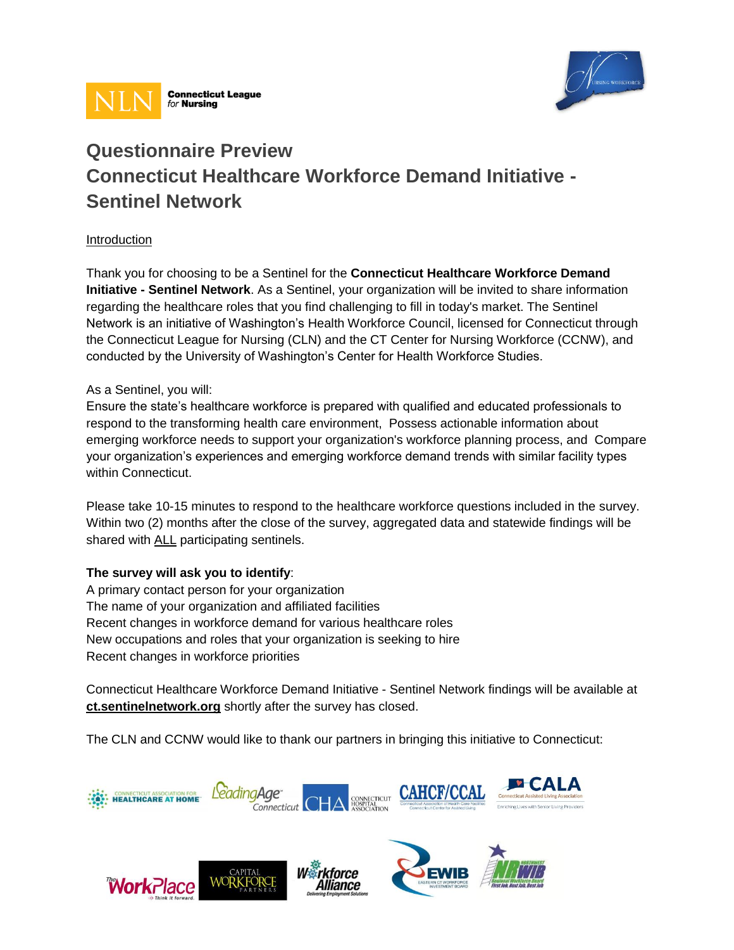



# **Questionnaire Preview Connecticut Healthcare Workforce Demand Initiative - Sentinel Network**

# Introduction

Thank you for choosing to be a Sentinel for the **Connecticut Healthcare Workforce Demand Initiative - Sentinel Network**. As a Sentinel, your organization will be invited to share information regarding the healthcare roles that you find challenging to fill in today's market. The Sentinel Network is an initiative of Washington's Health Workforce Council, licensed for Connecticut through the Connecticut League for Nursing (CLN) and the CT Center for Nursing Workforce (CCNW), and conducted by the University of Washington's Center for Health Workforce Studies.

### As a Sentinel, you will:

Ensure the state's healthcare workforce is prepared with qualified and educated professionals to respond to the transforming health care environment, Possess actionable information about emerging workforce needs to support your organization's workforce planning process, and Compare your organization's experiences and emerging workforce demand trends with similar facility types within Connecticut.

Please take 10-15 minutes to respond to the healthcare workforce questions included in the survey. Within two (2) months after the close of the survey, aggregated data and statewide findings will be shared with ALL participating sentinels.

# **The survey will ask you to identify**:

A primary contact person for your organization The name of your organization and affiliated facilities Recent changes in workforce demand for various healthcare roles New occupations and roles that your organization is seeking to hire Recent changes in workforce priorities

WORKFO

**WorkPlace** 

Connecticut Healthcare Workforce Demand Initiative - Sentinel Network findings will be available at **ct.sentinelnetwork.org** shortly after the survey has closed.

The CLN and CCNW would like to thank our partners in bringing this initiative to Connecticut:



kforce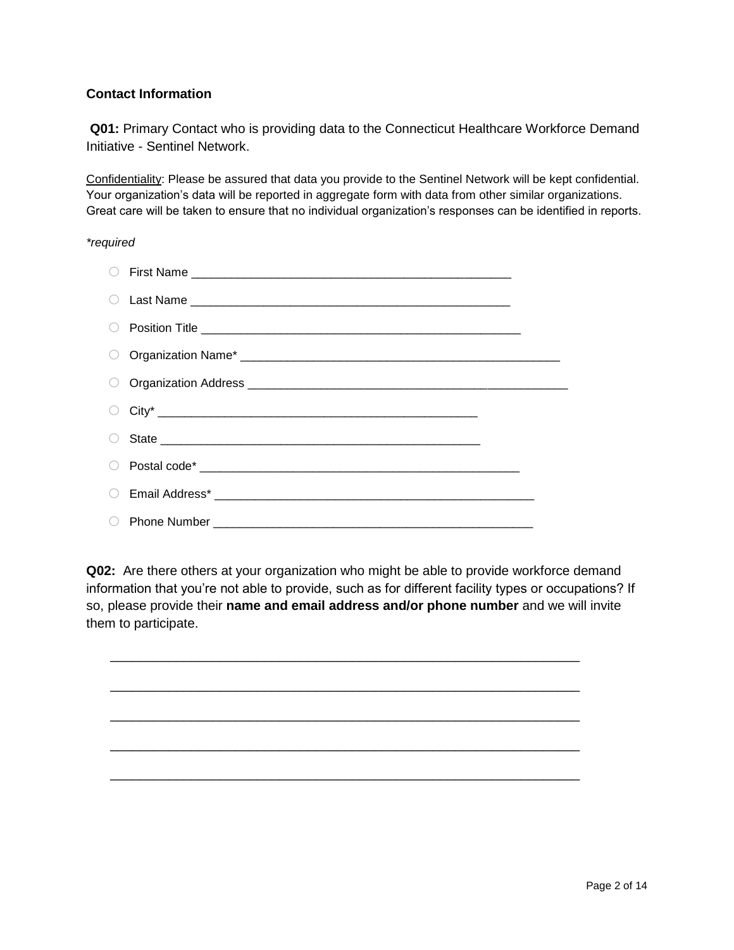# **Contact Information**

**Q01:** Primary Contact who is providing data to the Connecticut Healthcare Workforce Demand Initiative - Sentinel Network.

Confidentiality: Please be assured that data you provide to the Sentinel Network will be kept confidential. Your organization's data will be reported in aggregate form with data from other similar organizations. Great care will be taken to ensure that no individual organization's responses can be identified in reports.

#### *\*required*

**Q02:** Are there others at your organization who might be able to provide workforce demand information that you're not able to provide, such as for different facility types or occupations? If so, please provide their **name and email address and/or phone number** and we will invite them to participate.

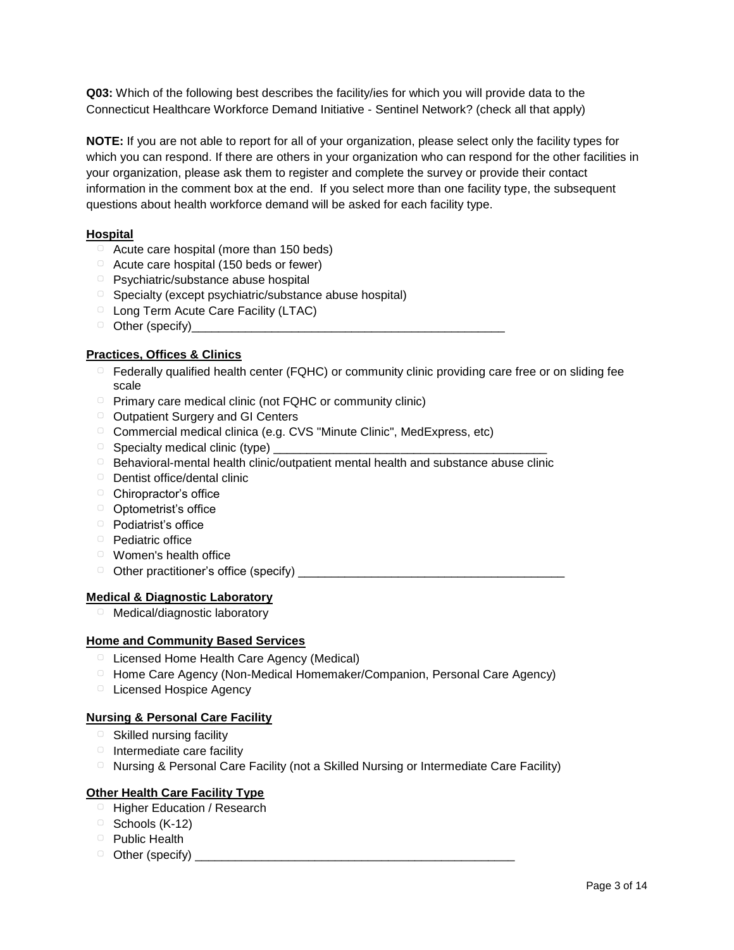**Q03:** Which of the following best describes the facility/ies for which you will provide data to the Connecticut Healthcare Workforce Demand Initiative - Sentinel Network? (check all that apply)

**NOTE:** If you are not able to report for all of your organization, please select only the facility types for which you can respond. If there are others in your organization who can respond for the other facilities in your organization, please ask them to register and complete the survey or provide their contact information in the comment box at the end. If you select more than one facility type, the subsequent questions about health workforce demand will be asked for each facility type.

### **Hospital**

- ▢ Acute care hospital (more than 150 beds)
- ▢ Acute care hospital (150 beds or fewer)
- ▢ Psychiatric/substance abuse hospital
- ▢ Specialty (except psychiatric/substance abuse hospital)
- ▢ Long Term Acute Care Facility (LTAC)
- □ Other (specify)

#### **Practices, Offices & Clinics**

- □ Federally qualified health center (FQHC) or community clinic providing care free or on sliding fee scale
- ▢ Primary care medical clinic (not FQHC or community clinic)
- ▢ Outpatient Surgery and GI Centers
- ▢ Commercial medical clinica (e.g. CVS "Minute Clinic", MedExpress, etc)
- $\Box$  Specialty medical clinic (type)  $\Box$
- ▢ Behavioral-mental health clinic/outpatient mental health and substance abuse clinic
- ▢ Dentist office/dental clinic
- □ Chiropractor's office
- ▢ Optometrist's office
- ▢ Podiatrist's office
- ▢ Pediatric office
- ▢ Women's health office
- ▢ Other practitioner's office (specify) \_\_\_\_\_\_\_\_\_\_\_\_\_\_\_\_\_\_\_\_\_\_\_\_\_\_\_\_\_\_\_\_\_\_\_\_\_\_\_\_

#### **Medical & Diagnostic Laboratory**

▢ Medical/diagnostic laboratory

#### **Home and Community Based Services**

- ▢ Licensed Home Health Care Agency (Medical)
- ▢ Home Care Agency (Non-Medical Homemaker/Companion, Personal Care Agency)
- ▢ Licensed Hospice Agency

### **Nursing & Personal Care Facility**

- □ Skilled nursing facility
- □ Intermediate care facility
- ▢ Nursing & Personal Care Facility (not a Skilled Nursing or Intermediate Care Facility)

# **Other Health Care Facility Type**

- □ Higher Education / Research
- ▢ Schools (K-12)
- ▢ Public Health
- ▢ Other (specify) \_\_\_\_\_\_\_\_\_\_\_\_\_\_\_\_\_\_\_\_\_\_\_\_\_\_\_\_\_\_\_\_\_\_\_\_\_\_\_\_\_\_\_\_\_\_\_\_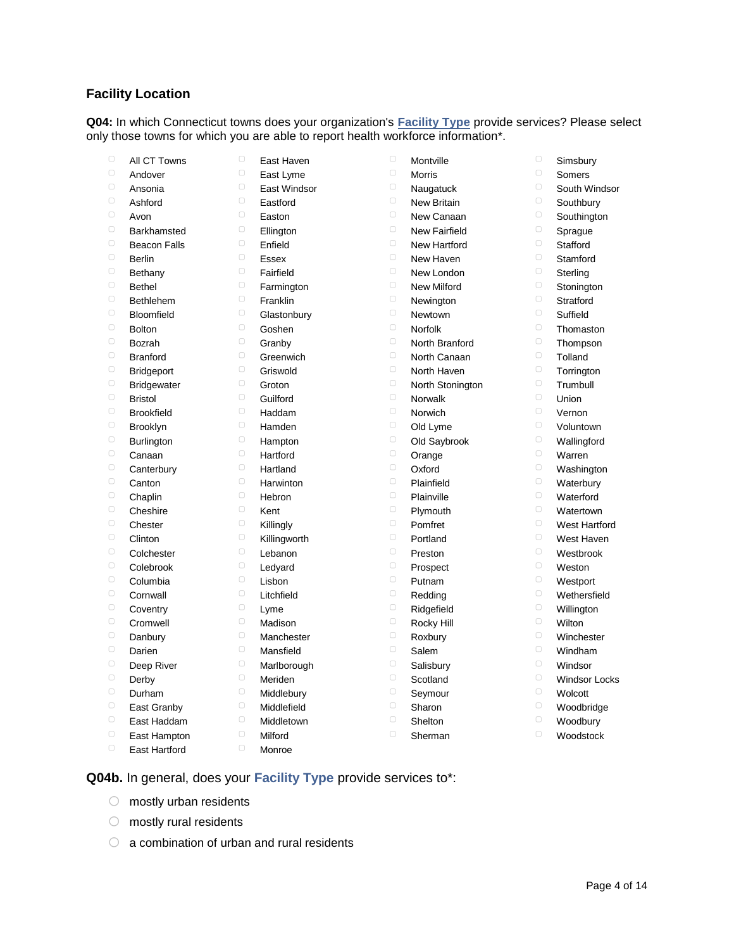# **Facility Location**

**Q04:** In which Connecticut towns does your organization's **Facility Type** provide services? Please select only those towns for which you are able to report health workforce information\*.

| $\Box$ | All CT Towns        | $\Box$           | East Haven   | $\Box$                  | Montville            | $\Box$ | Simsbury             |
|--------|---------------------|------------------|--------------|-------------------------|----------------------|--------|----------------------|
| $\Box$ | Andover             | $\Box$           | East Lyme    | $\Box$                  | Morris               | $\Box$ | Somers               |
| $\Box$ | Ansonia             | $\Box$           | East Windsor | $\Box$                  | Naugatuck            | $\Box$ | South Windsor        |
| $\Box$ | Ashford             | $\Box$           | Eastford     | $\Box$                  | <b>New Britain</b>   | $\Box$ | Southbury            |
| $\Box$ | Avon                | $\Box$           | Easton       | $\Box$                  | New Canaan           | $\Box$ | Southington          |
| $\Box$ | Barkhamsted         | $\Box$           | Ellington    | $\Box$                  | <b>New Fairfield</b> | $\Box$ | Sprague              |
| $\Box$ | <b>Beacon Falls</b> | $\Box$           | Enfield      | $\hspace{0.5cm}\square$ | New Hartford         | $\Box$ | Stafford             |
| $\Box$ | <b>Berlin</b>       | $\Box$           | <b>Essex</b> | $\Box$                  | New Haven            | $\Box$ | Stamford             |
| $\Box$ | Bethany             | $\Box$           | Fairfield    | $\Box$                  | New London           | $\Box$ | Sterling             |
| $\Box$ | <b>Bethel</b>       | $\Box$           | Farmington   | $\Box$                  | <b>New Milford</b>   | $\Box$ | Stonington           |
| $\Box$ | <b>Bethlehem</b>    | $\Box$           | Franklin     | $\hspace{0.5cm}\square$ | Newington            | $\Box$ | Stratford            |
| $\Box$ | Bloomfield          | $\Box$           | Glastonbury  | $\Box$                  | Newtown              | $\Box$ | Suffield             |
| $\Box$ | <b>Bolton</b>       | $\Box$           | Goshen       | $\Box$                  | Norfolk              | $\Box$ | Thomaston            |
| $\Box$ | Bozrah              | $\hfill \square$ | Granby       | $\Box$                  | North Branford       | $\Box$ | Thompson             |
| $\Box$ | <b>Branford</b>     | $\Box$           | Greenwich    | $\Box$                  | North Canaan         | $\Box$ | Tolland              |
| $\Box$ | <b>Bridgeport</b>   | $\Box$           | Griswold     | $\Box$                  | North Haven          | $\Box$ | Torrington           |
| $\Box$ | <b>Bridgewater</b>  | $\Box$           | Groton       | $\Box$                  | North Stonington     | $\Box$ | Trumbull             |
| $\Box$ | <b>Bristol</b>      | $\hfill \square$ | Guilford     | $\Box$                  | <b>Norwalk</b>       | $\Box$ | Union                |
| $\Box$ | <b>Brookfield</b>   | $\Box$           | Haddam       | $\Box$                  | Norwich              | $\Box$ | Vernon               |
| $\Box$ | <b>Brooklyn</b>     | $\Box$           | Hamden       | $\hspace{0.5cm}\square$ | Old Lyme             | $\Box$ | Voluntown            |
| $\Box$ | <b>Burlington</b>   | $\Box$           | Hampton      | $\Box$                  | Old Saybrook         | $\Box$ | Wallingford          |
| $\Box$ | Canaan              | $\hfill \square$ | Hartford     | $\Box$                  | Orange               | $\Box$ | Warren               |
| $\Box$ | Canterbury          | $\Box$           | Hartland     | $\Box$                  | Oxford               | $\Box$ | Washington           |
| $\Box$ | Canton              | $\Box$           | Harwinton    | $\Box$                  | Plainfield           | $\Box$ | Waterbury            |
| $\Box$ | Chaplin             | $\Box$           | Hebron       | $\Box$                  | Plainville           | $\Box$ | Waterford            |
| $\Box$ | Cheshire            | $\Box$           | Kent         | $\Box$                  | Plymouth             | $\Box$ | Watertown            |
| $\Box$ | Chester             | $\Box$           | Killingly    | $\Box$                  | Pomfret              | $\Box$ | West Hartford        |
| $\Box$ | Clinton             | $\Box$           | Killingworth | $\Box$                  | Portland             | $\Box$ | West Haven           |
| $\Box$ | Colchester          | $\Box$           | Lebanon      | $\Box$                  | Preston              | $\Box$ | Westbrook            |
| $\Box$ | Colebrook           | $\Box$           | Ledyard      | $\Box$                  | Prospect             | $\Box$ | Weston               |
| $\Box$ | Columbia            | $\Box$           | Lisbon       | 0                       | Putnam               | $\Box$ | Westport             |
| $\Box$ | Cornwall            | $\Box$           | Litchfield   | $\Box$                  | Redding              | $\Box$ | Wethersfield         |
| $\Box$ | Coventry            | $\Box$           | Lyme         | $\Box$                  | Ridgefield           | $\Box$ | Willington           |
| $\Box$ | Cromwell            | $\Box$           | Madison      | $\Box$                  | Rocky Hill           | $\Box$ | Wilton               |
| $\Box$ | Danbury             | $\Box$           | Manchester   | $\Box$                  | Roxbury              | $\Box$ | Winchester           |
| $\Box$ | Darien              | $\Box$           | Mansfield    | $\Box$                  | Salem                | $\Box$ | Windham              |
| $\Box$ | Deep River          | $\Box$           | Marlborough  | $\Box$                  | Salisbury            | $\Box$ | Windsor              |
| $\Box$ | Derby               | $\Box$           | Meriden      | $\Box$                  | Scotland             | $\Box$ | <b>Windsor Locks</b> |
| $\Box$ | Durham              | $\Box$           | Middlebury   | $\Box$                  | Seymour              | $\Box$ | Wolcott              |
| $\Box$ | East Granby         | $\Box$           | Middlefield  | $\Box$                  | Sharon               | $\Box$ | Woodbridge           |
| $\Box$ | East Haddam         | $\Box$           | Middletown   | $\Box$                  | Shelton              | $\Box$ | Woodbury             |
| $\Box$ | East Hampton        | $\Box$           | Milford      | $\Box$                  | Sherman              | $\Box$ | Woodstock            |
| $\Box$ | East Hartford       | $\Box$           | Monroe       |                         |                      |        |                      |

**Q04b.** In general, does your **Facility Type** provide services to\*:

- $\circ$  mostly urban residents
- $\circ$  mostly rural residents
- $\circ$  a combination of urban and rural residents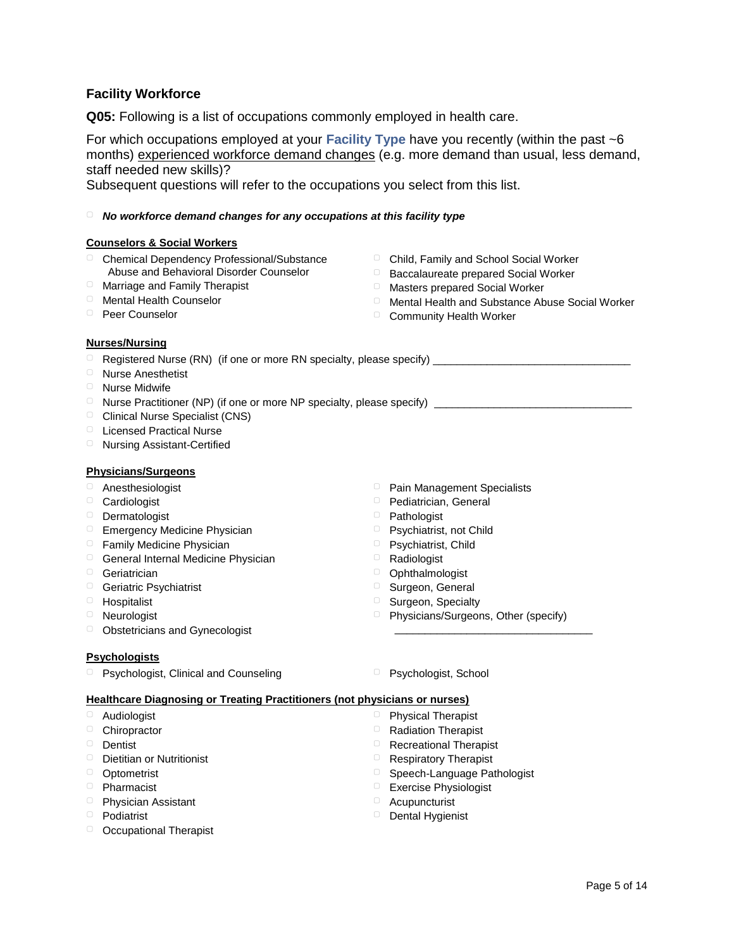# **Facility Workforce**

**Q05:** Following is a list of occupations commonly employed in health care.

For which occupations employed at your **Facility Type** have you recently (within the past ~6 months) experienced workforce demand changes (e.g. more demand than usual, less demand, staff needed new skills)?

Subsequent questions will refer to the occupations you select from this list.

#### ▢ *No workforce demand changes for any occupations at this facility type*

#### **Counselors & Social Workers**

- ▢ Chemical Dependency Professional/Substance Abuse and Behavioral Disorder Counselor
- ▢ Marriage and Family Therapist
- ▢ Mental Health Counselor
- ▢ Peer Counselor
- ▢ Child, Family and School Social Worker
- ▢ Baccalaureate prepared Social Worker
- ▢ Masters prepared Social Worker
- ▢ Mental Health and Substance Abuse Social Worker
- □ Community Health Worker

#### **Nurses/Nursing**

- ▢ Registered Nurse (RN) (if one or more RN specialty, please specify) \_\_\_\_\_\_\_\_\_\_\_\_\_\_\_\_\_\_\_\_\_\_\_\_\_\_\_\_\_\_\_\_\_
- ▢ Nurse Anesthetist
- ▢ Nurse Midwife

 $\Box$  Nurse Practitioner (NP) (if one or more NP specialty, please specify)

- ▢ Clinical Nurse Specialist (CNS)
- ▢ Licensed Practical Nurse
- ▢ Nursing Assistant-Certified

#### **Physicians/Surgeons**

- ▢ Anesthesiologist
- ▢ Cardiologist
- ▢ Dermatologist
- ▢ Emergency Medicine Physician
- ▢ Family Medicine Physician
- □ General Internal Medicine Physician
- ▢ Geriatrician
- ▢ Geriatric Psychiatrist
- ▢ Hospitalist
- ▢ Neurologist
- ▢ Obstetricians and Gynecologist

#### **Psychologists**

▢ Psychologist, Clinical and Counseling ▢ Psychologist, School

- ▢ Pain Management Specialists
- ▢ Pediatrician, General
- ▢ Pathologist
- ▢ Psychiatrist, not Child
- ▢ Psychiatrist, Child
- ▢ Radiologist
- ▢ Ophthalmologist
- ▢ Surgeon, General
- ▢ Surgeon, Specialty
- ▢ Physicians/Surgeons, Other (specify)

\_\_\_\_\_\_\_\_\_\_\_\_\_\_\_\_\_\_\_\_\_\_\_\_\_\_\_\_\_\_\_\_\_

#### **Healthcare Diagnosing or Treating Practitioners (not physicians or nurses)**

- ▢ Audiologist
- ▢ Chiropractor
- ▢ Dentist
- ▢ Dietitian or Nutritionist
- ▢ Optometrist
- ▢ Pharmacist
- ▢ Physician Assistant
- ▢ Podiatrist
- ▢ Occupational Therapist
- 
- ▢ Physical Therapist
- ▢ Radiation Therapist ▢ Recreational Therapist
- ▢ Respiratory Therapist
- Speech-Language Pathologist
- ▢ Exercise Physiologist
- ▢ Acupuncturist
- ▢ Dental Hygienist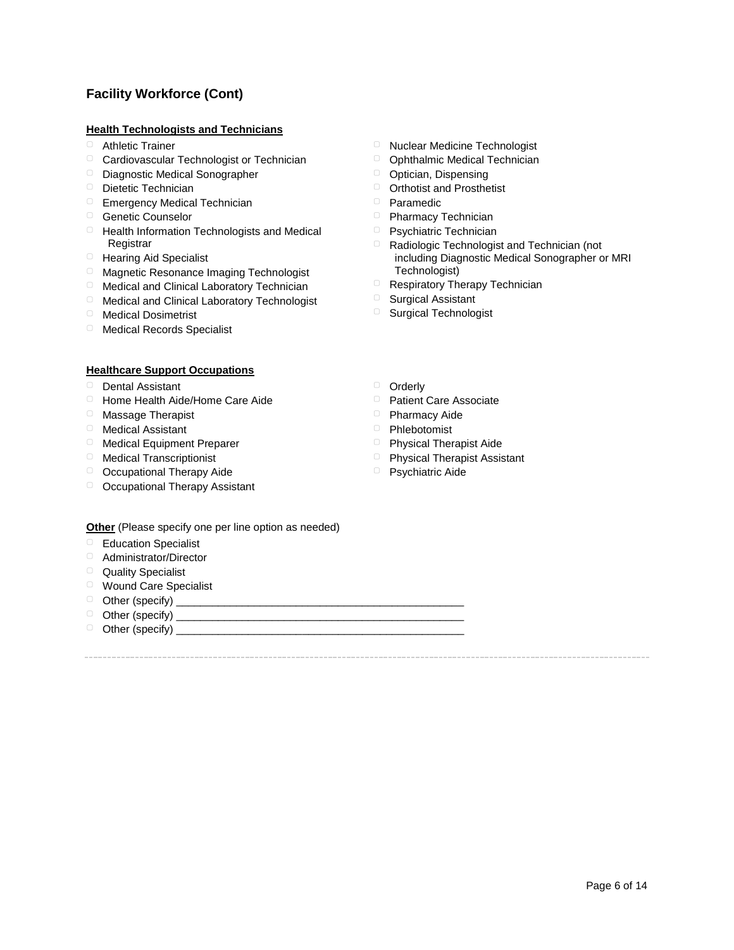# **Facility Workforce (Cont)**

#### **Health Technologists and Technicians**

- ▢ Athletic Trainer
- ▢ Cardiovascular Technologist or Technician
- ▢ Diagnostic Medical Sonographer
- ▢ Dietetic Technician
- □ Emergency Medical Technician
- ▢ Genetic Counselor
- ▢ Health Information Technologists and Medical **Registrar**
- ▢ Hearing Aid Specialist
- ▢ Magnetic Resonance Imaging Technologist
- ▢ Medical and Clinical Laboratory Technician
- ▢ Medical and Clinical Laboratory Technologist
- ▢ Medical Dosimetrist
- ▢ Medical Records Specialist

#### **Healthcare Support Occupations**

- ▢ Dental Assistant
- ▢ Home Health Aide/Home Care Aide
- ▢ Massage Therapist
- ▢ Medical Assistant
- ▢ Medical Equipment Preparer
- ▢ Medical Transcriptionist
- □ Occupational Therapy Aide
- ▢ Occupational Therapy Assistant
- ▢ Nuclear Medicine Technologist
- ▢ Ophthalmic Medical Technician
- ▢ Optician, Dispensing
- ▢ Orthotist and Prosthetist
- ▢ Paramedic
- ▢ Pharmacy Technician
- ▢ Psychiatric Technician
- ▢ Radiologic Technologist and Technician (not including Diagnostic Medical Sonographer or MRI Technologist)
- ▢ Respiratory Therapy Technician
- ▢ Surgical Assistant
- □ Surgical Technologist
- ▢ Orderly
- ▢ Patient Care Associate
- 
- 
- 
- ▢ Psychiatric Aide

**Other** (Please specify one per line option as needed)

- ▢ Education Specialist
- ▢ Administrator/Director
- ▢ Quality Specialist
- ▢ Wound Care Specialist
- ▢ Other (specify) \_\_\_\_\_\_\_\_\_\_\_\_\_\_\_\_\_\_\_\_\_\_\_\_\_\_\_\_\_\_\_\_\_\_\_\_\_\_\_\_\_\_\_\_\_\_\_\_
- ▢ Other (specify) \_\_\_\_\_\_\_\_\_\_\_\_\_\_\_\_\_\_\_\_\_\_\_\_\_\_\_\_\_\_\_\_\_\_\_\_\_\_\_\_\_\_\_\_\_\_\_\_
- ▢ Other (specify) \_\_\_\_\_\_\_\_\_\_\_\_\_\_\_\_\_\_\_\_\_\_\_\_\_\_\_\_\_\_\_\_\_\_\_\_\_\_\_\_\_\_\_\_\_\_\_\_
- 
- 
- ▢ Pharmacy Aide
- ▢ Phlebotomist
- ▢ Physical Therapist Aide
- ▢ Physical Therapist Assistant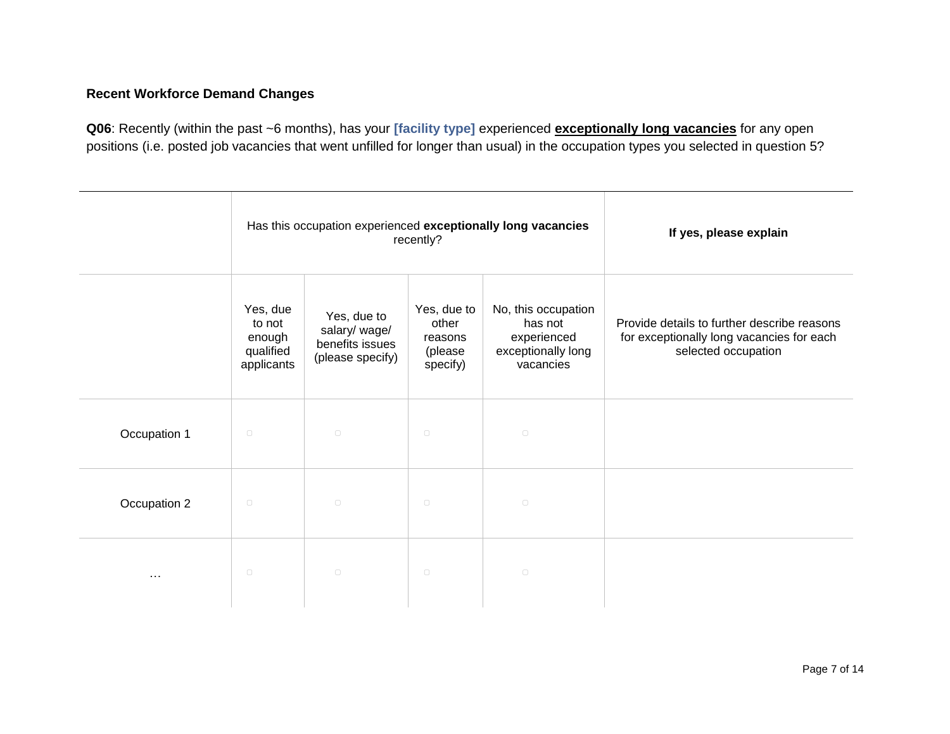# **Recent Workforce Demand Changes**

**Q06**: Recently (within the past ~6 months), has your **[facility type]** experienced **exceptionally long vacancies** for any open positions (i.e. posted job vacancies that went unfilled for longer than usual) in the occupation types you selected in question 5?

|              | Has this occupation experienced exceptionally long vacancies<br>recently? |                                                                     |                                                        | If yes, please explain                                                           |                                                                                                                 |
|--------------|---------------------------------------------------------------------------|---------------------------------------------------------------------|--------------------------------------------------------|----------------------------------------------------------------------------------|-----------------------------------------------------------------------------------------------------------------|
|              | Yes, due<br>to not<br>enough<br>qualified<br>applicants                   | Yes, due to<br>salary/ wage/<br>benefits issues<br>(please specify) | Yes, due to<br>other<br>reasons<br>(please<br>specify) | No, this occupation<br>has not<br>experienced<br>exceptionally long<br>vacancies | Provide details to further describe reasons<br>for exceptionally long vacancies for each<br>selected occupation |
| Occupation 1 | $\hfill \square$                                                          | $\Box$                                                              | $\hfill\square$                                        | $\hfill\square$                                                                  |                                                                                                                 |
| Occupation 2 | $\hfill \square$                                                          | $\Box$                                                              | $\hfill\square$                                        | $\hfill\square$                                                                  |                                                                                                                 |
| $\cdots$     | $\Box$                                                                    | $\hfill \square$                                                    | $\hfill \square$                                       | $\hfill \square$                                                                 |                                                                                                                 |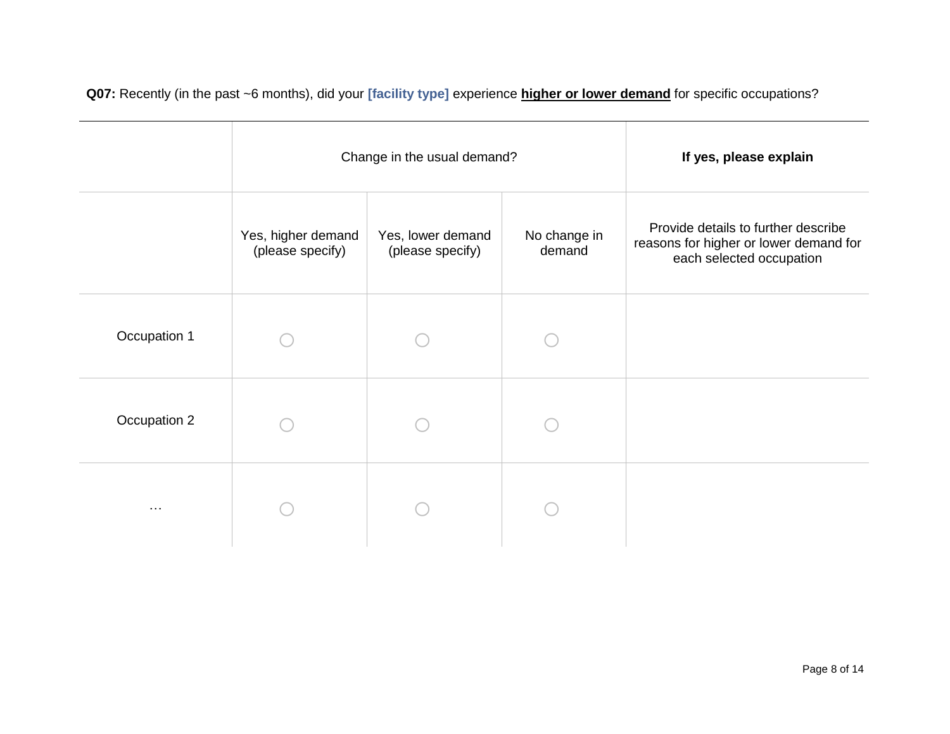**Q07:** Recently (in the past ~6 months), did your **[facility type]** experience **higher or lower demand** for specific occupations?

|              |                                        | Change in the usual demand?           | If yes, please explain |                                                                                                           |
|--------------|----------------------------------------|---------------------------------------|------------------------|-----------------------------------------------------------------------------------------------------------|
|              | Yes, higher demand<br>(please specify) | Yes, lower demand<br>(please specify) | No change in<br>demand | Provide details to further describe<br>reasons for higher or lower demand for<br>each selected occupation |
| Occupation 1 |                                        |                                       |                        |                                                                                                           |
| Occupation 2 |                                        |                                       |                        |                                                                                                           |
| $\cdots$     |                                        |                                       |                        |                                                                                                           |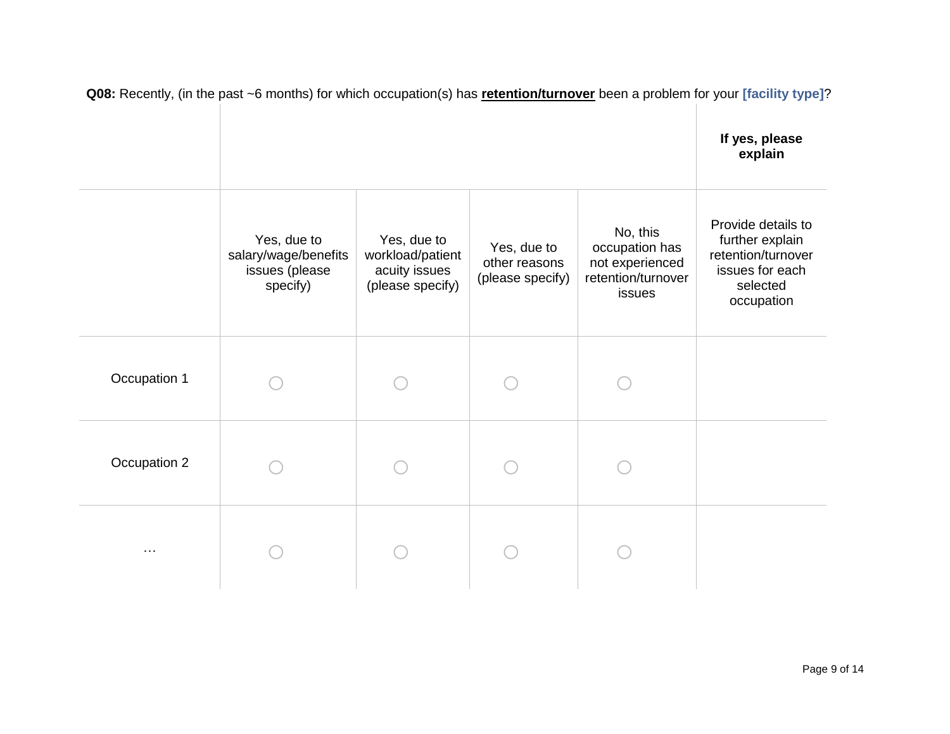|              |                                                                   |                                                                      |                                                  |                                                                               | If yes, please<br>explain                                                                                |
|--------------|-------------------------------------------------------------------|----------------------------------------------------------------------|--------------------------------------------------|-------------------------------------------------------------------------------|----------------------------------------------------------------------------------------------------------|
|              | Yes, due to<br>salary/wage/benefits<br>issues (please<br>specify) | Yes, due to<br>workload/patient<br>acuity issues<br>(please specify) | Yes, due to<br>other reasons<br>(please specify) | No, this<br>occupation has<br>not experienced<br>retention/turnover<br>issues | Provide details to<br>further explain<br>retention/turnover<br>issues for each<br>selected<br>occupation |
| Occupation 1 |                                                                   |                                                                      |                                                  |                                                                               |                                                                                                          |
| Occupation 2 |                                                                   |                                                                      |                                                  |                                                                               |                                                                                                          |
| $\cdots$     |                                                                   |                                                                      |                                                  |                                                                               |                                                                                                          |

**Q08:** Recently, (in the past ~6 months) for which occupation(s) has **retention/turnover** been a problem for your **[facility type]**?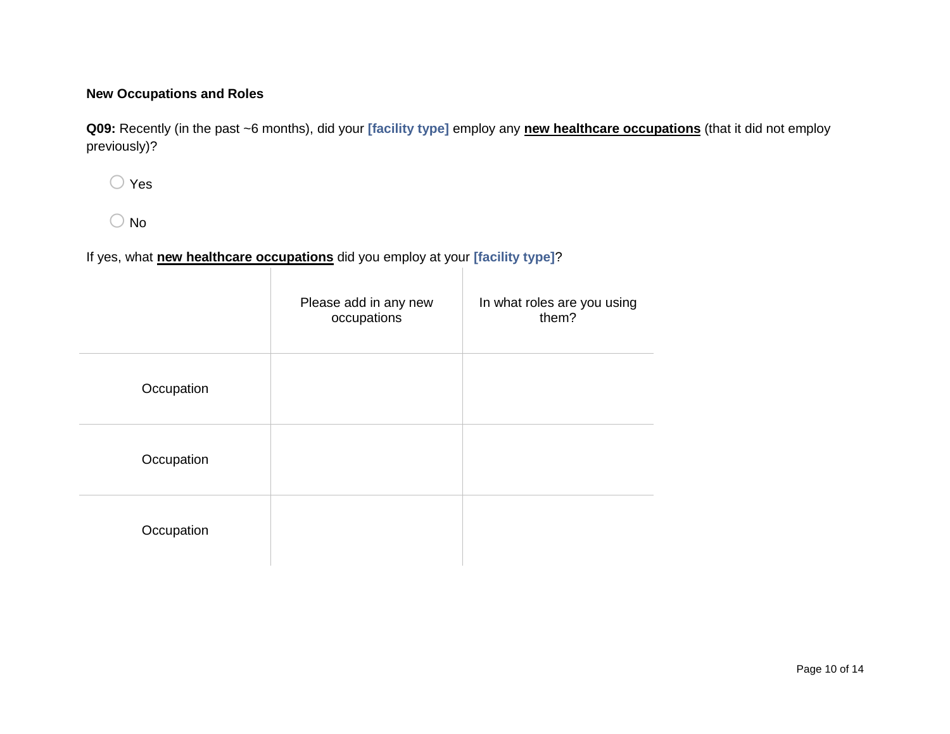# **New Occupations and Roles**

**Q09:** Recently (in the past ~6 months), did your **[facility type]** employ any **new healthcare occupations** (that it did not employ previously)?

o Yes

 $\bigcirc$  No

# If yes, what **new healthcare occupations** did you employ at your **[facility type]**?

|            | Please add in any new<br>occupations | In what roles are you using<br>them? |
|------------|--------------------------------------|--------------------------------------|
| Occupation |                                      |                                      |
| Occupation |                                      |                                      |
| Occupation |                                      |                                      |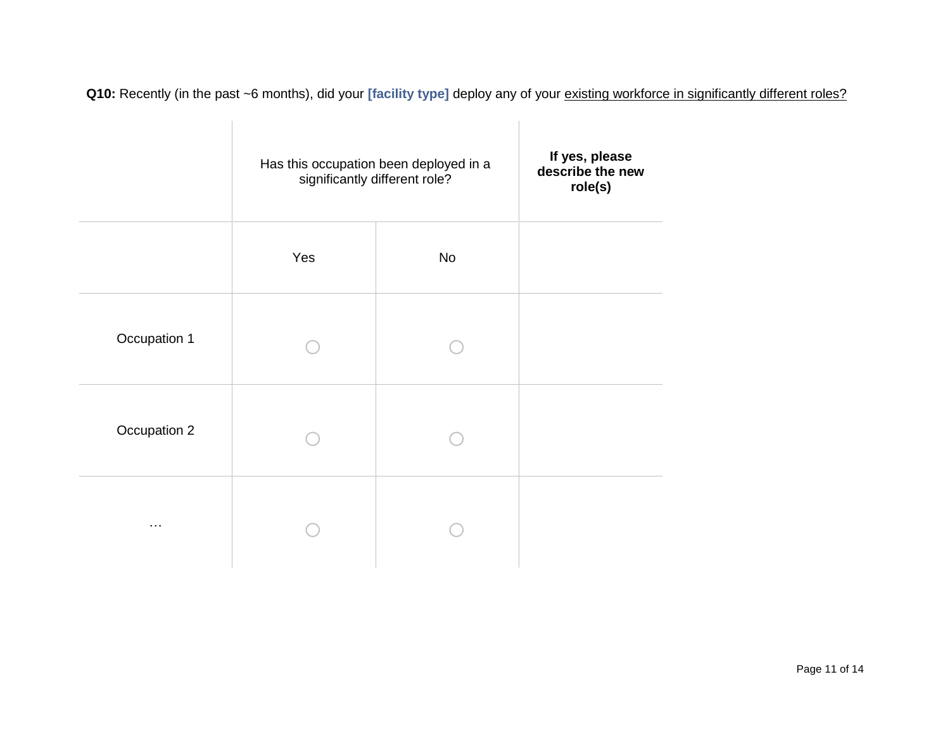Q10: Recently (in the past ~6 months), did your [facility type] deploy any of your **existing workforce in significantly different roles?** 

|              | Has this occupation been deployed in a<br>significantly different role? | If yes, please<br>describe the new<br>role(s) |  |
|--------------|-------------------------------------------------------------------------|-----------------------------------------------|--|
|              | Yes<br><b>No</b>                                                        |                                               |  |
| Occupation 1 |                                                                         |                                               |  |
| Occupation 2 |                                                                         |                                               |  |
| $\cdots$     |                                                                         |                                               |  |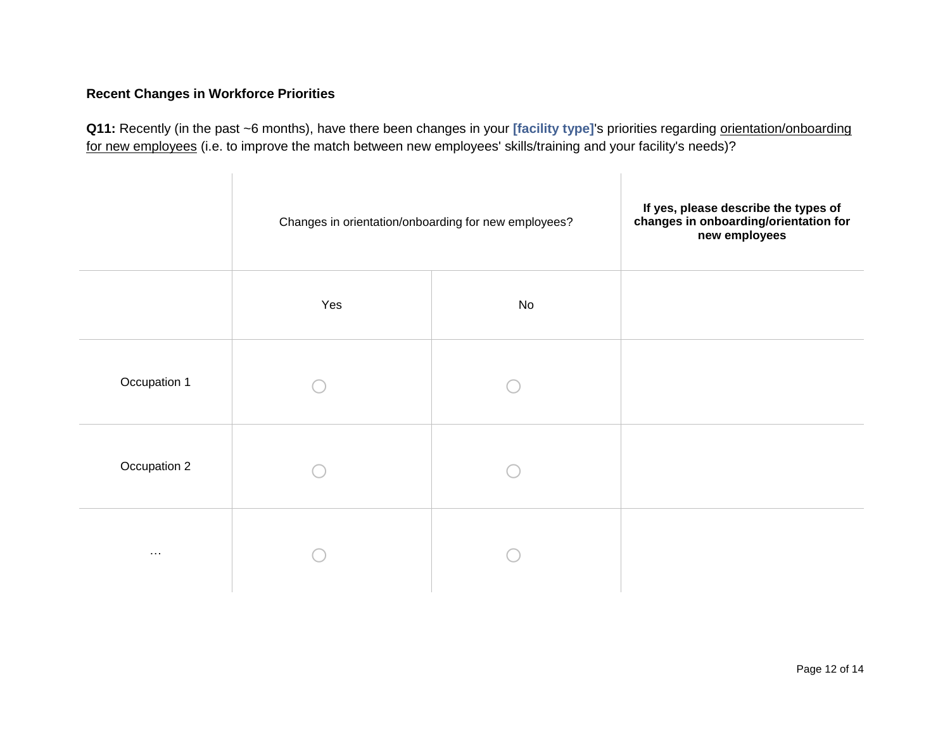# **Recent Changes in Workforce Priorities**

Q11: Recently (in the past ~6 months), have there been changes in your [facility type]'s priorities regarding orientation/onboarding for new employees (i.e. to improve the match between new employees' skills/training and your facility's needs)?

|                      | Changes in orientation/onboarding for new employees? | If yes, please describe the types of<br>changes in onboarding/orientation for<br>new employees |  |
|----------------------|------------------------------------------------------|------------------------------------------------------------------------------------------------|--|
|                      | Yes                                                  | No                                                                                             |  |
| Occupation 1         |                                                      |                                                                                                |  |
| Occupation 2         |                                                      |                                                                                                |  |
| $\sim$ $\sim$ $\sim$ |                                                      |                                                                                                |  |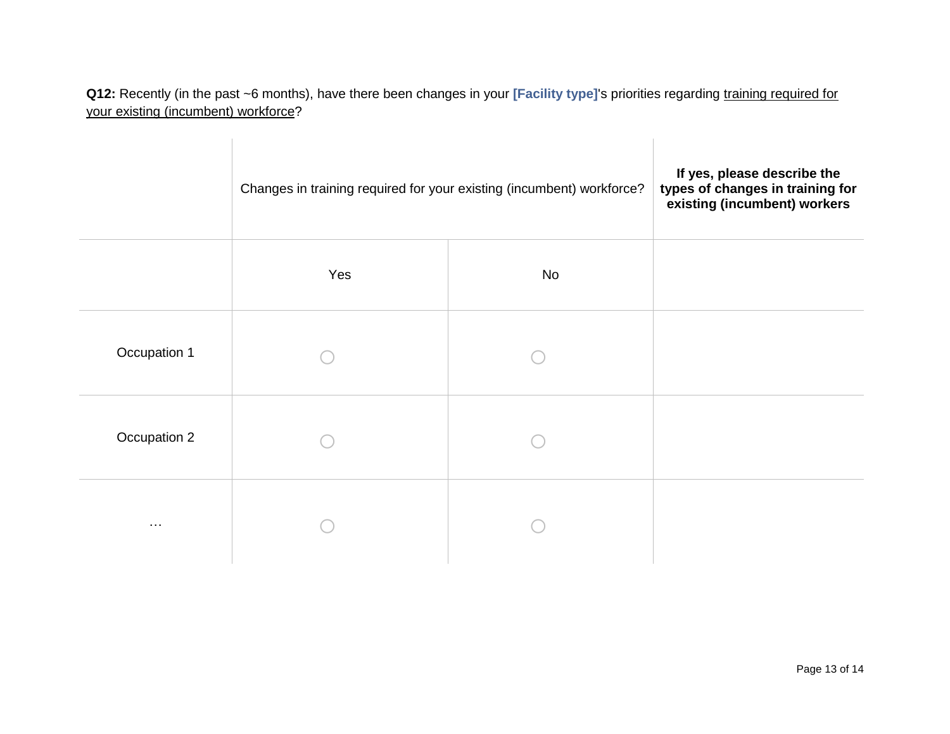**Q12:** Recently (in the past ~6 months), have there been changes in your **[Facility type]**'s priorities regarding training required for your existing (incumbent) workforce?

|              | Changes in training required for your existing (incumbent) workforce? | If yes, please describe the<br>types of changes in training for<br>existing (incumbent) workers |  |
|--------------|-----------------------------------------------------------------------|-------------------------------------------------------------------------------------------------|--|
|              | Yes                                                                   | No                                                                                              |  |
| Occupation 1 |                                                                       |                                                                                                 |  |
| Occupation 2 |                                                                       |                                                                                                 |  |
| $\ldots$     |                                                                       |                                                                                                 |  |